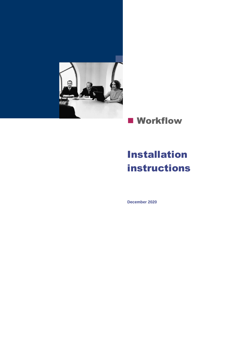

## **■ Workflow**

# Installation instructions

**December 2020**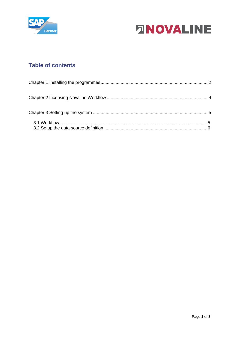



### **Table of contents**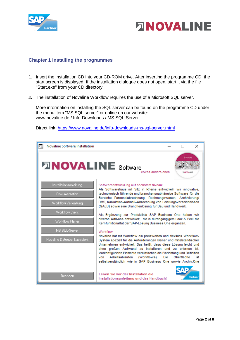



#### <span id="page-2-0"></span>**Chapter 1 Installing the programmes**

- 1. Insert the installation CD into your CD-ROM drive. After inserting the programme CD, the start screen is displayed. If the installation dialogue does not open, start it via the file "Start.exe" from your CD directory.
- *2.* The installation of Novaline Workflow requires the use of a Microsoft SQL server.

More information on installing the SQL server can be found on the programme CD under the menu item "MS SQL server" or online on our website: www.novaline.de / Info-Downloads / MS SQL-Server

Direct link:<https://www.novaline.de/info-downloads-ms-sql-server.mtml>

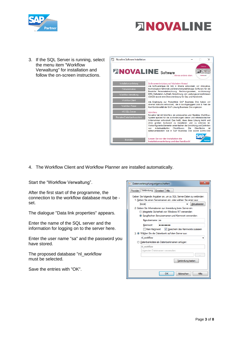



3. If the SQL Server is running, select the menu item "Workflow Verwaltung" for installation and follow the on-screen instructions.



4. The Workflow Client and Workflow Planner are installed automatically.

Start the "Workflow Verwaltung".

After the first start of the programme, the connection to the workflow database must be set.

The dialogue "Data link properties" appears.

Enter the name of the SQL server and the information for logging on to the server here.

Enter the user name "sa" and the password you have stored.

The proposed database "nl\_workflow must be selected.

Save the entries with "OK".

| $\overline{\mathbf{x}}$<br>Datenverknüpfungseigenschaften                                                                                                          |  |  |  |  |  |
|--------------------------------------------------------------------------------------------------------------------------------------------------------------------|--|--|--|--|--|
| Provider Verbindung Erweitert<br>Alle                                                                                                                              |  |  |  |  |  |
| Geben Sie folgende Angaben an, um zu SQL Server-Daten zu verbinden:<br>1. Geben Sie einen Servemamen ein, oder wählen Sie einen aus:<br>Aktualisieren<br>(local)   |  |  |  |  |  |
| 2. Geben Sie Informationen zur Anmeldung beim Server ein:<br>ntegrierte Sicherheit von Windows NT verwenden<br>• Spezifischen Benutzemamen und Kennwort verwenden: |  |  |  |  |  |
| Benutzemame: sa<br>Kennwort:<br>                                                                                                                                   |  |  |  |  |  |
| Kein Kennwort V Speichem des Kennworts zulassen<br>3. Wählen Sie die Datenbank auf dem Server aus:                                                                 |  |  |  |  |  |
| nl workflow                                                                                                                                                        |  |  |  |  |  |
| Datenbankdatei als Datenbanknamen anfügen:<br>nl workflow                                                                                                          |  |  |  |  |  |
| Folgenden Dateinamen verwenden:                                                                                                                                    |  |  |  |  |  |
| Verbindung testen                                                                                                                                                  |  |  |  |  |  |
| OK<br>Abbrechen<br><b>Hilfe</b>                                                                                                                                    |  |  |  |  |  |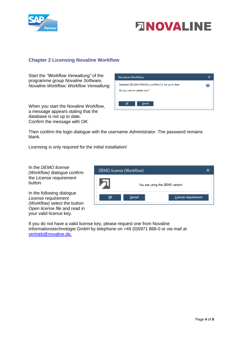



#### <span id="page-4-0"></span>**Chapter 2 Licensing Novaline Workflow**

Start the *"Workflow Verwaltung"* of the programme group *Novaline Software, Novaline Workflow; Workflow Verwaltung.* 

When you start the Novaline Workflow, a message appears stating that the database is not up to date. Confirm the message with *OK.*



Then confirm the login dialogue with the username *Administrator*. The password remains blank.

Licensing is only required for the initial installation!

In the *DEMO license (Workflow)* dialogue confirm the *License requirement* button*.*

In the following dialogue *License requirement (Workflow)* select the button *Open license file* and read in your valid licence key.



If you do not have a valid license key, please request one from Novaline Informationstechnologie GmbH by telephone on +49 (0)5971 868-0 or via mail at [vertrieb@novaline.de.](mailto:vertrieb@novaline.de)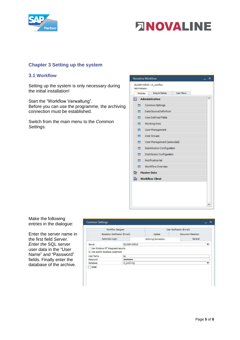



#### <span id="page-5-0"></span>**Chapter 3 Setting up the system**

#### <span id="page-5-1"></span>**3.1 Workflow**

Setting up the system is only necessary during the initial installation!

Start the "Workflow Verwaltung". Before you can use the programme, the archiving connection must be established.

Switch from the main menu to the *Common Settings.*



Make the following entries in the dialogue:

Enter the server name in the first field *Server. Enter the* SQL server user data in the "User Name" and "Password" fields. Finally enter the database of the archive.

|                                                                                        | Workflow Designer | User Notification (E-mail) |                    |  |  |
|----------------------------------------------------------------------------------------|-------------------|----------------------------|--------------------|--|--|
| Escalation Notification (E-mail)<br>Automatic Login                                    |                   | Update                     | Document Detection |  |  |
|                                                                                        |                   | Archiving Connection       | General            |  |  |
| Server                                                                                 |                   | DLUGAY-WIN10               |                    |  |  |
| Use Windows NT Integrated security<br>· Use explicit database credentials<br>User Name | sa                |                            |                    |  |  |
|                                                                                        |                   |                            |                    |  |  |
|                                                                                        |                   |                            |                    |  |  |
| Password<br><b>Database</b>                                                            | nl archiving      |                            |                    |  |  |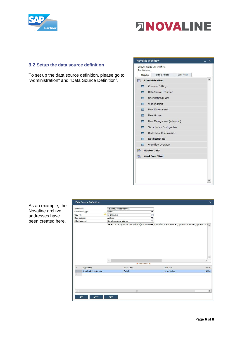



#### <span id="page-6-0"></span>**3.2 Setup the data source definition**

To set up the data source definition, please go to "Administration" and "Data Source Definition".

| Modules                  |                        | Drag & Relate              | User Menu |  |  |
|--------------------------|------------------------|----------------------------|-----------|--|--|
|                          |                        |                            |           |  |  |
| 阊                        |                        | Administration             |           |  |  |
| <b>RES</b>               |                        | Common Settings            |           |  |  |
|                          | Data Source Definition |                            |           |  |  |
|                          |                        | User Defined Fields        |           |  |  |
| $\blacksquare$           |                        | Working time               |           |  |  |
| <b>The Contract</b>      |                        | User Management            |           |  |  |
| <b>Fill</b>              |                        | User Groups                |           |  |  |
| $\overline{\phantom{a}}$ |                        | User Management (extended) |           |  |  |
| <b>SER</b>               |                        | Substitution Configuration |           |  |  |
| $\blacksquare$           |                        | Distributor Configuration  |           |  |  |
| ÷                        |                        | Notification list          |           |  |  |
|                          |                        | Workflow Overview          |           |  |  |
| ِ ∰                      | <b>Master Data</b>     |                            |           |  |  |
|                          |                        | <b>The Workflow Client</b> |           |  |  |
|                          |                        |                            |           |  |  |
|                          |                        |                            |           |  |  |
|                          |                        |                            |           |  |  |

As an example, the Novaline archive addresses have been created here.

| Application          |                        | Novaline Address Archive |                          |                                          |
|----------------------|------------------------|--------------------------|--------------------------|------------------------------------------|
|                      | Connection Type        | OleDB                    | ٠                        |                                          |
| UDL File             |                        | nl_archiving             | ⊜                        |                                          |
| Data Category        |                        | Address                  | $\overline{\phantom{a}}$ |                                          |
| <b>SQL</b> Statement |                        | Novaline archive address | ٠                        |                                          |
|                      |                        |                          |                          |                                          |
|                      |                        |                          |                          |                                          |
|                      |                        | $\epsilon$               |                          | $\overline{\mathbf{v}}$<br>$\rightarrow$ |
|                      |                        | Winnerstoners' A         |                          |                                          |
| #                    | Application            | Connection               | <b>UDL File</b>          | Data (                                   |
| 1                    | NovalineAddressArchive | OleDB                    | nl_archiving             | <b>Addres</b>                            |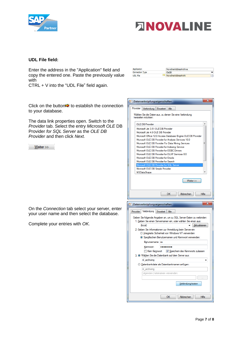



#### **UDL File field:**

Enter the address in the "Application" field and copy the entered one. Paste the previously value with

CTRL + V into the "UDL File" field again.

Application NovalineAddressArchive Connection Type  $O$ le $DB$ Novaline Address Archi UDL File e

Datenverknüpfungseigenschaften

 $\mathbf{x}$ 

Click on the button  $\Rightarrow$  to establish the connection to your database.

The data link properties open. Switch to the *Provider* tab. Select the entry *Microsoft OLE* DB Provider *for SQL Server* as the *OLE DB Provider* and then click *Next.* 

 $W$ eiter >>

| Provider<br>Verbindung Erweitert<br>Alle                                                                                                                                                                                                                                                                                                                                                                                                                                                                                                                                                            |
|-----------------------------------------------------------------------------------------------------------------------------------------------------------------------------------------------------------------------------------------------------------------------------------------------------------------------------------------------------------------------------------------------------------------------------------------------------------------------------------------------------------------------------------------------------------------------------------------------------|
| Wählen Sie die Daten aus, zu denen Sie eine Verbindung<br>herstellen möchten:                                                                                                                                                                                                                                                                                                                                                                                                                                                                                                                       |
| OLE DB-Provider                                                                                                                                                                                                                                                                                                                                                                                                                                                                                                                                                                                     |
| Microsoft Jet 3.51 OLE DB Provider<br>Microsoft Jet 4.0 OLE DB Provider<br>Microsoft Office 12.0 Access Database Engine OLE DB Provider<br>Microsoft OLE DB Provider for Analysis Services 10.0<br>Ξ<br>Microsoft OLE DB Provider For Data Mining Services<br>Microsoft OLE DB Provider for Indexing Service<br>Microsoft OLE DB Provider for ODBC Drivers<br>Microsoft OLE DB Provider for OLAP Services 8.0<br>Microsoft OLE DB Provider for Oracle<br>Microsoft OLE DB Provider for Search<br>Microsoft OLE DB Provider for SQL Server<br>Microsoft OLE DB Simple Provider<br><b>MSDataShape</b> |
| Weiter >>                                                                                                                                                                                                                                                                                                                                                                                                                                                                                                                                                                                           |
| OК<br>Abbrechen<br>Hilfe                                                                                                                                                                                                                                                                                                                                                                                                                                                                                                                                                                            |
|                                                                                                                                                                                                                                                                                                                                                                                                                                                                                                                                                                                                     |
| x<br>Datenverknüpfungseigenschaften                                                                                                                                                                                                                                                                                                                                                                                                                                                                                                                                                                 |
| Verbindung<br>Provider<br>Alle<br>Erweitert                                                                                                                                                                                                                                                                                                                                                                                                                                                                                                                                                         |
| Geben Sie folgende Angaben an, um zu SQL Server-Daten zu verbinden:<br>1. Geben Sie einen Servemamen ein, oder wählen Sie einen aus:<br><b>Aktualisieren</b><br>(local)<br>2. Geben Sie Informationen zur Anmeldung beim Server ein:<br><b>b</b> Integrierte Sicherheit von Windows NT verwenden<br>Spezifischen Benutzemamen und Kennwort verwenden:                                                                                                                                                                                                                                               |
| Benutzemame: sa                                                                                                                                                                                                                                                                                                                                                                                                                                                                                                                                                                                     |
| Kennwort:<br>                                                                                                                                                                                                                                                                                                                                                                                                                                                                                                                                                                                       |
| Kein Kennwort<br>Speichem des Kennworts zulassen<br>3. Wählen Sie die Datenbank auf dem Server aus:                                                                                                                                                                                                                                                                                                                                                                                                                                                                                                 |
| nl_archiving                                                                                                                                                                                                                                                                                                                                                                                                                                                                                                                                                                                        |
| <b>Datenbankdatei als Datenbanknamen anfügen:</b>                                                                                                                                                                                                                                                                                                                                                                                                                                                                                                                                                   |
| nl_archiving                                                                                                                                                                                                                                                                                                                                                                                                                                                                                                                                                                                        |
| Folgenden Dateinamen verwenden:<br>Verbindung testen                                                                                                                                                                                                                                                                                                                                                                                                                                                                                                                                                |

On the *Connection* tab select your server, enter your user name and then select the database.

Complete your entries with *OK.*